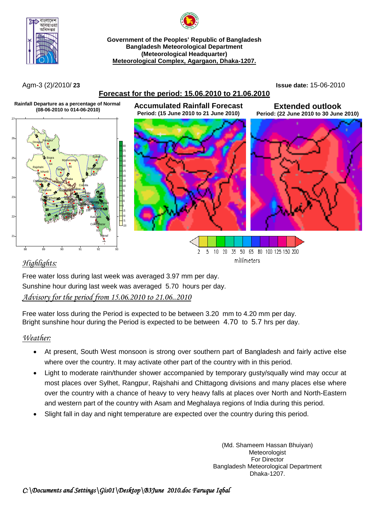

**Government of the Peoples' Republic of Bangladesh Bangladesh Meteorological Department (Meteorological Headquarter) Meteorological Complex, Agargaon, Dhaka-1207.**

#### **Forecast for the period: 15.06.2010 to 21.06.2010**

**Period: (15 June 2010 to 21 June 2010)**

Agm-3 (2)/2010/ **23 Issue date:** 15-06-2010

**Extended outlook Period: (22 June 2010 to 30 June 2010)**







#### 10 20 35 50 65 80 100 125 150 200 2 -5 millimeters

### *Highlights:*

Free water loss during last week was averaged 3.97 mm per day. Sunshine hour during last week was averaged 5.70 hours per day. *Advisory for the period from 15.06.2010 to 21.06..2010*

Free water loss during the Period is expected to be between 3.20 mm to 4.20 mm per day. Bright sunshine hour during the Period is expected to be between 4.70 to 5.7 hrs per day.

### *Weather:*

- At present, South West monsoon is strong over southern part of Bangladesh and fairly active else where over the country. It may activate other part of the country with in this period.
- Light to moderate rain/thunder shower accompanied by temporary gusty/squally wind may occur at most places over Sylhet, Rangpur, Rajshahi and Chittagong divisions and many places else where over the country with a chance of heavy to very heavy falls at places over North and North-Eastern and western part of the country with Asam and Meghalaya regions of India during this period.
- Slight fall in day and night temperature are expected over the country during this period.

(Md. Shameem Hassan Bhuiyan) **Meteorologist** For Director Bangladesh Meteorological Department Dhaka-1207.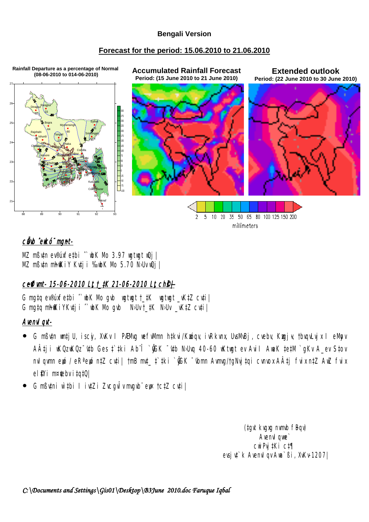#### **Bengali Version**

#### Forecast for the period: 15.06.2010 to 21.06.2010



## cůvb ewkó mgnt-

MZ mßvtn ev®úxfetbi "wbK Mo 3.97 wgtwgt wQj | MZ mButn mhfKiY Kutji ‰ubK Mo 5.70 N>Uv uQj |

# ceffimt- 15-06-2010 Lt t\_tK 21-06-2010 Lt ch\$+

G mgtq ev®úxfetbi ^wbK Mo gvb wgtwgt t\_tK wgtwgt \_vKtZ cvti | G mgtg mhfKiYKutj i ` wbK Mo gub WbUt \_tK WbUt \_vKtZ cuti |

### **Avenvl gvt-**

- G mßytn wn‡j∪, iscj, XvKv I PÆMyg wefyMmn h‡kvi/Kwógy, ivRkynx, UysMvBj, cyeby, Kwgj¥, †bygyLyjx I eMpy A‡ji wKQzwKQz ttb Ges ‡tki Ab î `@GK ttb N>Uvq 40-60 wKtwgt ev Avil AwaK tetM `qKv A\_ev Stov nvlqwnn ewó / eR<sup>a</sup>ewó n‡Z cv‡i| †mB mv‡\_ ‡`‡ki `@̃GK <sup>-</sup>wbmn Awmvg/tgNvj‡qi cvnvox A‡j fvix n‡Z AwZ fvix el !Yi m¤¢ebvitqt0|
- G mßutni w`tbi I iutZi Zucgvlv mugub ew tctZ cuti |

(tgvt kvgxg nvmvb fBqv) Avenyl qwe  $CW$  Pvj  $Ki$   $CI\P$ evsj v‡`k Avenvl qv Awa`ßi, XvKv-1207|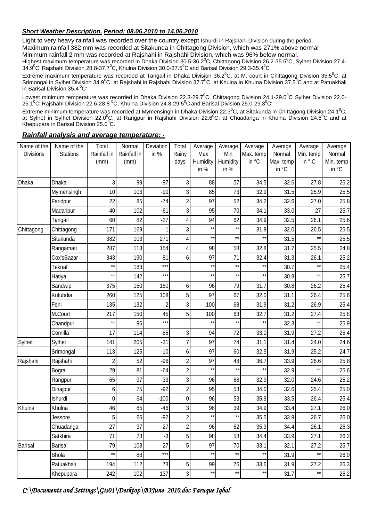#### *Short Weather Description, Period: 08.06.2010 to 14.06.2010*

Light to very heavy rainfall was recorded over the country except Ishurdi in Rajshahi Division during the period.

Maximum rainfall 382 mm was recorded at Sitakunda in Chittagong Division, which was 271% above normal

Minimum rainfall 2 mm was recorded at Rajshahi in Rajshahi Division, which was 96% below normal.

Highest maximum temperature was recorded in Dhaka Division 30.5-36.2<sup>0</sup>C, Chittagong Division 26.2-35.5<sup>0</sup>C, Sylhet Division 27.4-34.9 $^0$ C<sup>,</sup> Rajshahi Division 28.8-37.7 $^0$ C, Khulna Division 30.0-37.5 $^0$ C and Barisal Division 29.3-35.4 $^0$ C'

Extreme maximum temperature was recorded at Tangail in Dhaka Division 36.2<sup>0</sup>C, at M. court in Chittagong Division 35.5<sup>0</sup>C, at Srimongal in Sylhet Division 34.9<sup>0</sup>C, at Rajshahi in Rajshahi Division 37.7<sup>0</sup>C, at Khulna in Khulna Division 37.5<sup>0</sup>C and at Patuakhali in Barisal Division 35.4 $\mathrm{^0C}$ 

Lowest minimum temperature was recorded in Dhaka Division 22.3-29.7<sup>0</sup>C, Chittagong Division 24.1-29.0<sup>0</sup>C' Sylhet Division 22.0-26.1 $^0$ C $^{\circ}$  Rajshahi Division 22.6-28.8  $^0$ C, Khulna Division 24.8-29.5 $^0$ C and Barisal Division 25.0-29.3 $^0$ C $^{\circ}$ 

Extreme minimum temperature was recorded at Mymensingh in Dhaka Division 22.3<sup>0</sup>C, at Sitakunda in Chittagong Division 24.1<sup>0</sup>C, at Sylhet in Sylhet Division 22.0<sup>o</sup>C, at Rangpur in Rajshahi Division 22.6<sup>o</sup>C, at Chuadanga in Khulna Division 24.8<sup>o</sup>C and at Khepupara in Barisal Division 25.0 $\mathrm{^0C}$ .

| Name of the      | Name of the     | Total           | Normal      | Deviation      | Total          | Average         | Average         | Average         | Average   | Average         | Average   |
|------------------|-----------------|-----------------|-------------|----------------|----------------|-----------------|-----------------|-----------------|-----------|-----------------|-----------|
| <b>Divisions</b> | <b>Stations</b> | Rainfall in     | Rainfall in | in %           | Rainy          | Max             | Min             | Max. temp       | Normal    | Min. temp       | Normal    |
|                  |                 | (mm)            | (mm)        |                | days           | Humidity        | Humidity        | in °C           | Max. temp | in ° C          | Min. temp |
|                  |                 |                 |             |                |                | in %            | in %            |                 | in °C     |                 | in °C     |
| Dhaka            | Dhaka           | 3               | 99          | $-97$          | 3              | 88              | 57              | 34.5            | 32.6      | 27.8            | 26.2      |
|                  | Mymensingh      | 10              | 103         | $-90$          | 3              | 85              | 73              | 32.9            | 31.5      | 25.9            | 25.5      |
|                  | Faridpur        | 22              | 85          | $-74$          | $\overline{c}$ | 97              | 52              | 34.2            | 32.6      | 27.0            | 25.8      |
|                  | Madaripur       | 40              | 102         | $-61$          | $\mathbf{3}$   | 95              | 70              | 34.1            | 33.0      | 27              | 25.7      |
|                  | Tangail         | 60              | 82          | $-27$          | 4              | 94              | 62              | 34.9            | 32.5      | 26.1            | 25.6      |
| Chittagong       | Chittagong      | 171             | 169         |                | 3              | $***$           | $\star\star$    | 31.9            | 32.0      | 26.5            | 25.5      |
|                  | Sitakunda       | 382             | 103         | 271            | 4              | $***$           | $\star\star$    | $***$           | 31.5      | $^{\star\star}$ | 25.5      |
|                  | Rangamati       | 287             | 113         | 154            | 4              | 98              | 58              | 32.8            | 31.7      | 25.5            | 24.8      |
|                  | Cox'sBazar      | 343             | 190         | 81             | $6 \,$         | 97              | 71              | 32.4            | 31.3      | 26.1            | 25.2      |
|                  | Teknaf          | $^{\star\star}$ | 183         | $***$          |                | $***$           | $\star\star$    | $***$           | 30.7      | $***$           | 25.4      |
|                  | Hatiya          | $^{\star\star}$ | 142         | ***            |                | $***$           | $***$           | $***$           | 30.8      | $^{\star\star}$ | 25.7      |
|                  | Sandwip         | 375             | 150         | 150            | 6              | 96              | 79              | 31.7            | 30.8      | 26.2            | 25.4      |
|                  | Kutubdia        | 260             | 125         | 108            | 5              | 97              | 67              | 32.0            | 31.1      | 26.4            | 25.6      |
|                  | Feni            | 135             | 132         | $\overline{2}$ | 3 <sup>1</sup> | 100             | 68              | 31.9            | 31.2      | 26.9            | 25.4      |
|                  | M.Court         | 217             | 150         | 45             | 5              | 100             | 63              | 32.7            | 31.2      | 27.4            | 25.8      |
|                  | Chandpur        | $^{\star\star}$ | 96          | $***$          |                | $***$           | $\star\star$    | $^{\star\star}$ | 32.3      | $**$            | 25.9      |
|                  | Comilla         | 17              | 114         | $-85$          | 3              | 94              | 72              | 33.0            | 31.9      | 27.2            | 25.4      |
| Sylhet           | Sylhet          | 141             | 205         | $-31$          | $\overline{7}$ | 97              | 74              | 31.1            | 31.4      | 24.0            | 24.6      |
|                  | Srimongal       | 113             | 125         | $-10$          | $6 \,$         | 97              | 60              | 32.5            | 31.9      | 25.2            | 24.7      |
| Rajshahi         | Rajshahi        | $\overline{c}$  | 52          | $-96$          | $\overline{2}$ | 97              | 48              | 36.7            | 33.9      | 26.6            | 25.8      |
|                  | Bogra           | 29              | 81          | $-64$          | $\overline{2}$ | $***$           | $***$           | $^{\star\star}$ | 32.9      | $***$           | 25.6      |
|                  | Rangpur         | 65              | 97          | $-33$          | 3 <sup>1</sup> | 96              | 68              | 32.9            | 32.0      | 24.6            | 25.2      |
|                  | Dinajpur        | 6               | 75          | $-92$          | $\overline{c}$ | 95              | 53              | 34.0            | 32.6      | 25.4            | 25.0      |
|                  | Ishurdi         | 0               | 64          | $-100$         | $\overline{0}$ | 96              | 53              | 35.9            | 33.5      | 26.4            | 25.4      |
| Khulna           | Khulna          | 46              | 85          | $-46$          | $\mathbf{3}$   | 98              | 39              | 34.9            | 33.4      | 27.1            | 26.0      |
|                  | Jessore         | 5 <sup>1</sup>  | 66          | $-92$          | $\overline{2}$ | $^{\star\star}$ | $^{\star\star}$ | 35.5            | 33.9      | 26.7            | 26.0      |
|                  | Chuadanga       | 27              | 37          | $-27$          | $\overline{2}$ | 96              | 62              | 35.3            | 34.4      | 26.1            | 26.3      |
|                  | Satkhira        | 71              | 73          | $-3$           | 5 <sup>1</sup> | 98              | 58              | 34.4            | 33.9      | 27.1            | 26.2      |
| <b>Barisal</b>   | <b>Barisal</b>  | 79              | 108         | $-27$          | 5 <sup>1</sup> | 97              | 70              | 33.1            | 32.1      | 27.2            | 25.7      |
|                  | <b>Bhola</b>    | $^{\star\star}$ | 88          | $***$          |                | $^{\star\star}$ | $***$           | $^{\star\star}$ | 31.9      | $***$           | 26.0      |
|                  | Patuakhali      | 194             | 112         | 73             | 5 <sub>l</sub> | 99              | 76              | 33.6            | 31.9      | 27.2            | 26.3      |
|                  | Khepupara       | 242             | 102         | 137            | $\overline{3}$ | $^{\star\star}$ | $^{\star\star}$ | $***$           | 31.7      | $^{\star\star}$ | 26.2      |

#### *Rainfall analysis and average temperature:* -

*C:\Documents and Settings\Gis01\Desktop\B3June 2010.doc Faruque Iqbal*